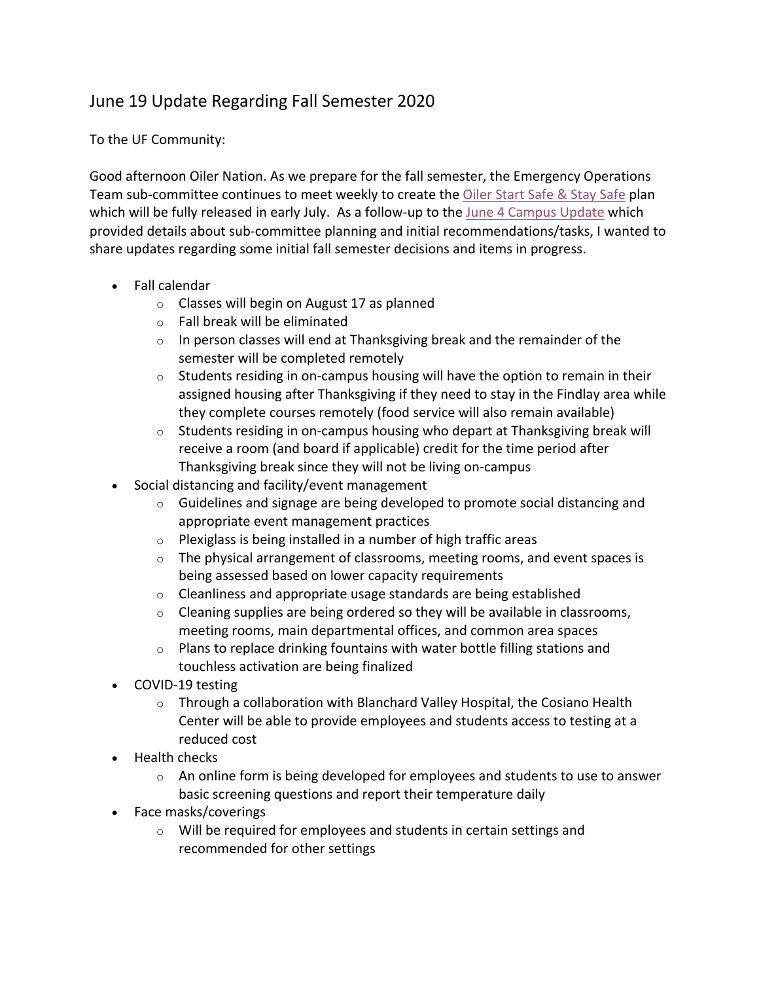## June 19 Update Regarding Fall Semester 2020

To the UF Community:

Good afternoon Oiler Nation. As we prepare for the fall semester, the Emergency Operations Team sub-committee continues to meet weekly to create the Oiler Start Safe & Stay Safe plan which will be fully released in early July. As a follow-up to the June 4 Campus Update which provided details about sub-committee planning and initial recommendations/tasks, I wanted to share updates regarding some initial fall semester decisions and items in progress.

- Fall calendar
	- o Classes will begin on August 17 as planned
	- o Fall break will be eliminated
	- $\circ$  In person classes will end at Thanksgiving break and the remainder of the semester will be completed remotely
	- $\circ$  Students residing in on-campus housing will have the option to remain in their assigned housing after Thanksgiving if they need to stay in the Findlay area while they complete courses remotely (food service will also remain available)
	- $\circ$  Students residing in on-campus housing who depart at Thanksgiving break will receive a room (and board if applicable) credit for the time period after Thanksgiving break since they will not be living on-campus
- Social distancing and facility/event management
	- $\circ$  Guidelines and signage are being developed to promote social distancing and appropriate event management practices
	- $\circ$  Plexiglass is being installed in a number of high traffic areas
	- $\circ$  The physical arrangement of classrooms, meeting rooms, and event spaces is being assessed based on lower capacity requirements
	- o Cleanliness and appropriate usage standards are being established
	- $\circ$  Cleaning supplies are being ordered so they will be available in classrooms, meeting rooms, main departmental offices, and common area spaces
	- o Plans to replace drinking fountains with water bottle filling stations and touchless activation are being finalized
- COVID-19 testing
	- $\circ$  Through a collaboration with Blanchard Valley Hospital, the Cosiano Health Center will be able to provide employees and students access to testing at a reduced cost
- Health checks
	- $\circ$  An online form is being developed for employees and students to use to answer basic screening questions and report their temperature daily
- Face masks/coverings
	- o Will be required for employees and students in certain settings and recommended for other settings